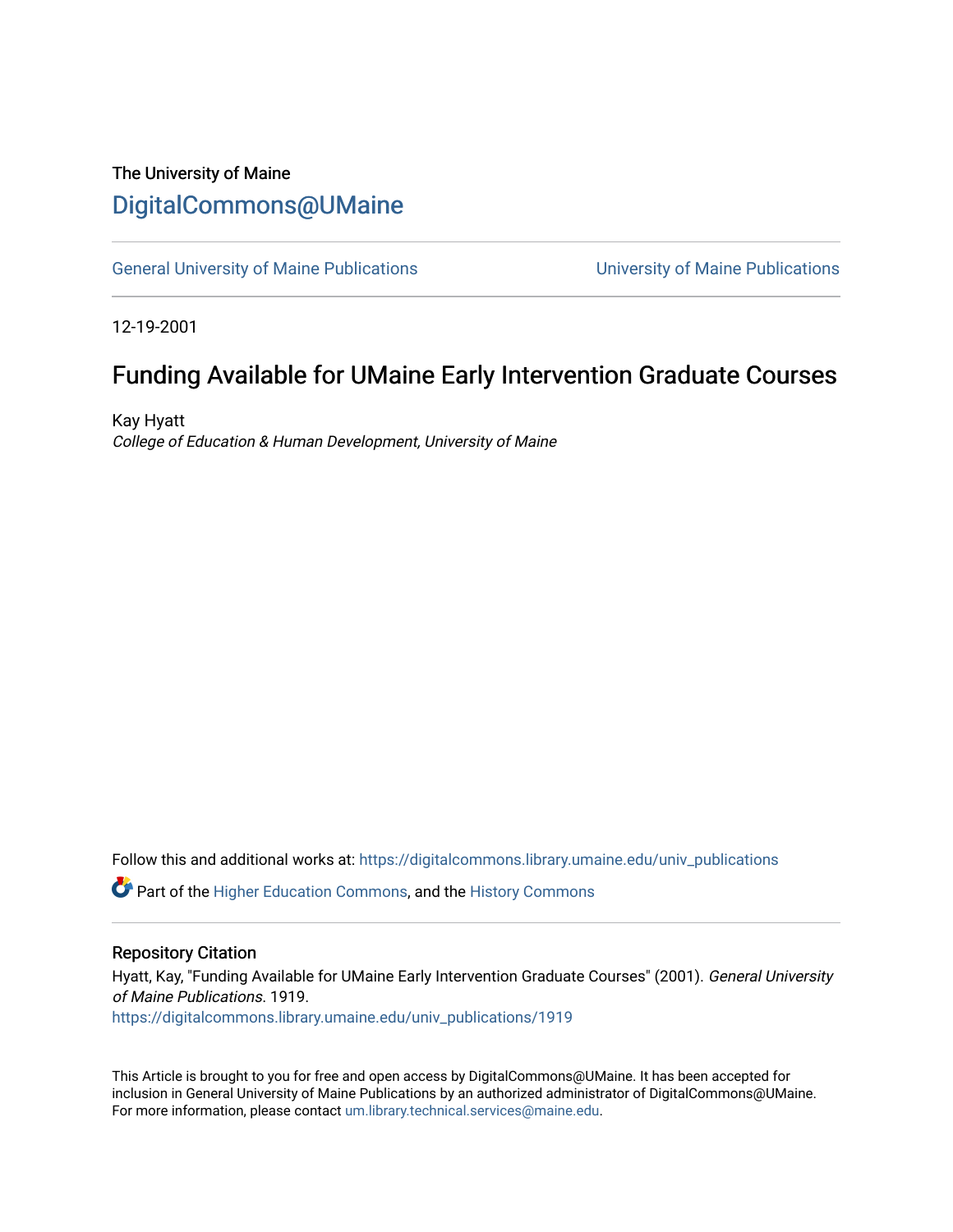### The University of Maine [DigitalCommons@UMaine](https://digitalcommons.library.umaine.edu/)

[General University of Maine Publications](https://digitalcommons.library.umaine.edu/univ_publications) [University of Maine Publications](https://digitalcommons.library.umaine.edu/umaine_publications) 

12-19-2001

## Funding Available for UMaine Early Intervention Graduate Courses

Kay Hyatt College of Education & Human Development, University of Maine

Follow this and additional works at: [https://digitalcommons.library.umaine.edu/univ\\_publications](https://digitalcommons.library.umaine.edu/univ_publications?utm_source=digitalcommons.library.umaine.edu%2Funiv_publications%2F1919&utm_medium=PDF&utm_campaign=PDFCoverPages) 

Part of the [Higher Education Commons,](http://network.bepress.com/hgg/discipline/1245?utm_source=digitalcommons.library.umaine.edu%2Funiv_publications%2F1919&utm_medium=PDF&utm_campaign=PDFCoverPages) and the [History Commons](http://network.bepress.com/hgg/discipline/489?utm_source=digitalcommons.library.umaine.edu%2Funiv_publications%2F1919&utm_medium=PDF&utm_campaign=PDFCoverPages)

#### Repository Citation

Hyatt, Kay, "Funding Available for UMaine Early Intervention Graduate Courses" (2001). General University of Maine Publications. 1919.

[https://digitalcommons.library.umaine.edu/univ\\_publications/1919](https://digitalcommons.library.umaine.edu/univ_publications/1919?utm_source=digitalcommons.library.umaine.edu%2Funiv_publications%2F1919&utm_medium=PDF&utm_campaign=PDFCoverPages)

This Article is brought to you for free and open access by DigitalCommons@UMaine. It has been accepted for inclusion in General University of Maine Publications by an authorized administrator of DigitalCommons@UMaine. For more information, please contact [um.library.technical.services@maine.edu](mailto:um.library.technical.services@maine.edu).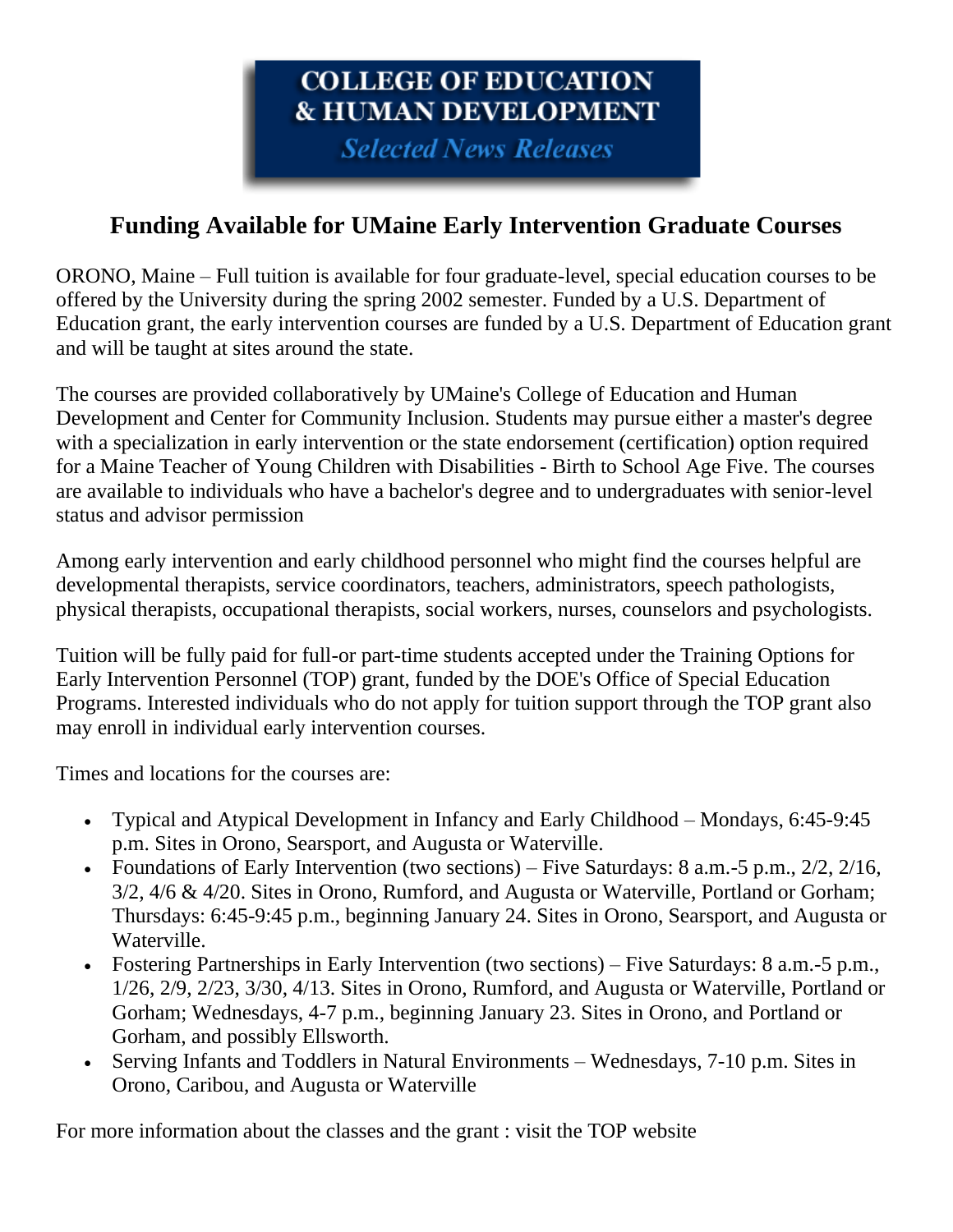# COLLEGE OF EDUCATION **& HUMAN DEVELOPMENT**

**Selected News Releases** 

## **Funding Available for UMaine Early Intervention Graduate Courses**

ORONO, Maine – Full tuition is available for four graduate-level, special education courses to be offered by the University during the spring 2002 semester. Funded by a U.S. Department of Education grant, the early intervention courses are funded by a U.S. Department of Education grant and will be taught at sites around the state.

The courses are provided collaboratively by UMaine's College of Education and Human Development and Center for Community Inclusion. Students may pursue either a master's degree with a specialization in early intervention or the state endorsement (certification) option required for a Maine Teacher of Young Children with Disabilities - Birth to School Age Five. The courses are available to individuals who have a bachelor's degree and to undergraduates with senior-level status and advisor permission

Among early intervention and early childhood personnel who might find the courses helpful are developmental therapists, service coordinators, teachers, administrators, speech pathologists, physical therapists, occupational therapists, social workers, nurses, counselors and psychologists.

Tuition will be fully paid for full-or part-time students accepted under the Training Options for Early Intervention Personnel (TOP) grant, funded by the DOE's Office of Special Education Programs. Interested individuals who do not apply for tuition support through the TOP grant also may enroll in individual early intervention courses.

Times and locations for the courses are:

- Typical and Atypical Development in Infancy and Early Childhood Mondays, 6:45-9:45 p.m. Sites in Orono, Searsport, and Augusta or Waterville.
- Foundations of Early Intervention (two sections) Five Saturdays:  $8$  a.m. -5 p.m.,  $2/2$ ,  $2/16$ , 3/2, 4/6 & 4/20. Sites in Orono, Rumford, and Augusta or Waterville, Portland or Gorham; Thursdays: 6:45-9:45 p.m., beginning January 24. Sites in Orono, Searsport, and Augusta or Waterville.
- Fostering Partnerships in Early Intervention (two sections) Five Saturdays: 8 a.m.-5 p.m., 1/26, 2/9, 2/23, 3/30, 4/13. Sites in Orono, Rumford, and Augusta or Waterville, Portland or Gorham; Wednesdays, 4-7 p.m., beginning January 23. Sites in Orono, and Portland or Gorham, and possibly Ellsworth.
- Serving Infants and Toddlers in Natural Environments Wednesdays, 7-10 p.m. Sites in Orono, Caribou, and Augusta or Waterville

For more information about the classes and the grant : visit the TOP website